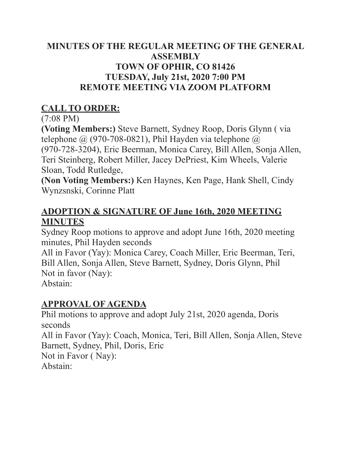#### **MINUTES OF THE REGULAR MEETING OF THE GENERAL ASSEMBLY TOWN OF OPHIR, CO 81426 TUESDAY, July 21st, 2020 7:00 PM REMOTE MEETING VIA ZOOM PLATFORM**

## **CALL TO ORDER:**

#### (7:08 PM)

**(Voting Members:)** Steve Barnett, Sydney Roop, Doris Glynn ( via telephone  $\omega$  (970-708-0821), Phil Hayden via telephone  $\omega$ (970-728-3204), Eric Beerman, Monica Carey, Bill Allen, Sonja Allen, Teri Steinberg, Robert Miller, Jacey DePriest, Kim Wheels, Valerie Sloan, Todd Rutledge,

**(Non Voting Members:)** Ken Haynes, Ken Page, Hank Shell, Cindy Wynzsnski, Corinne Platt

#### **ADOPTION & SIGNATURE OF June 16th, 2020 MEETING MINUTES**

Sydney Roop motions to approve and adopt June 16th, 2020 meeting minutes, Phil Hayden seconds

All in Favor (Yay): Monica Carey, Coach Miller, Eric Beerman, Teri, Bill Allen, Sonja Allen, Steve Barnett, Sydney, Doris Glynn, Phil Not in favor (Nay): Abstain:

#### **APPROVAL OF AGENDA**

Phil motions to approve and adopt July 21st, 2020 agenda, Doris seconds All in Favor (Yay): Coach, Monica, Teri, Bill Allen, Sonja Allen, Steve Barnett, Sydney, Phil, Doris, Eric Not in Favor ( Nay): Abstain: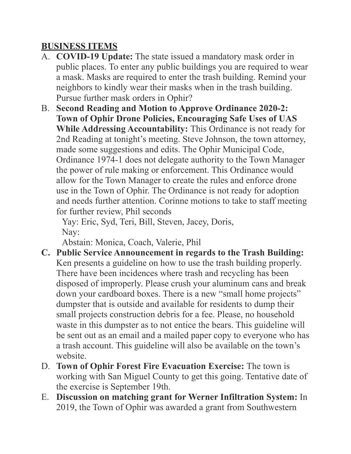### **BUSINESS ITEMS**

- A. **COVID-19 Update:** The state issued a mandatory mask order in public places. To enter any public buildings you are required to wear a mask. Masks are required to enter the trash building. Remind your neighbors to kindly wear their masks when in the trash building. Pursue further mask orders in Ophir?
- B. **Second Reading and Motion to Approve Ordinance 2020-2: Town of Ophir Drone Policies, Encouraging Safe Uses of UAS While Addressing Accountability:** This Ordinance is not ready for 2nd Reading at tonight's meeting. Steve Johnson, the town attorney, made some suggestions and edits. The Ophir Municipal Code, Ordinance 1974-1 does not delegate authority to the Town Manager the power of rule making or enforcement. This Ordinance would allow for the Town Manager to create the rules and enforce drone use in the Town of Ophir. The Ordinance is not ready for adoption and needs further attention. Corinne motions to take to staff meeting for further review, Phil seconds

 Yay: Eric, Syd, Teri, Bill, Steven, Jacey, Doris, Nay:

Abstain: Monica, Coach, Valerie, Phil

- **C. Public Service Announcement in regards to the Trash Building:**  Ken presents a guideline on how to use the trash building properly. There have been incidences where trash and recycling has been disposed of improperly. Please crush your aluminum cans and break down your cardboard boxes. There is a new "small home projects" dumpster that is outside and available for residents to dump their small projects construction debris for a fee. Please, no household waste in this dumpster as to not entice the bears. This guideline will be sent out as an email and a mailed paper copy to everyone who has a trash account. This guideline will also be available on the town's website.
- D. **Town of Ophir Forest Fire Evacuation Exercise:** The town is working with San Miguel County to get this going. Tentative date of the exercise is September 19th.
- E. **Discussion on matching grant for Werner Infiltration System:** In 2019, the Town of Ophir was awarded a grant from Southwestern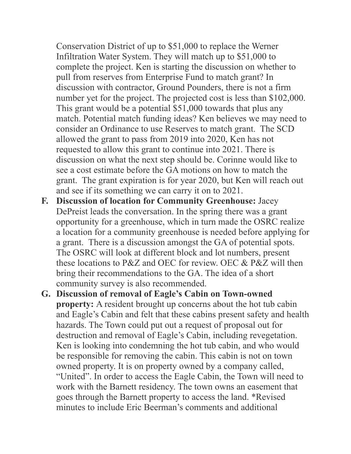Conservation District of up to \$51,000 to replace the Werner Infiltration Water System. They will match up to \$51,000 to complete the project. Ken is starting the discussion on whether to pull from reserves from Enterprise Fund to match grant? In discussion with contractor, Ground Pounders, there is not a firm number yet for the project. The projected cost is less than \$102,000. This grant would be a potential \$51,000 towards that plus any match. Potential match funding ideas? Ken believes we may need to consider an Ordinance to use Reserves to match grant. The SCD allowed the grant to pass from 2019 into 2020, Ken has not requested to allow this grant to continue into 2021. There is discussion on what the next step should be. Corinne would like to see a cost estimate before the GA motions on how to match the grant. The grant expiration is for year 2020, but Ken will reach out and see if its something we can carry it on to 2021.

- **F. Discussion of location for Community Greenhouse:** Jacey DePreist leads the conversation. In the spring there was a grant opportunity for a greenhouse, which in turn made the OSRC realize a location for a community greenhouse is needed before applying for a grant. There is a discussion amongst the GA of potential spots. The OSRC will look at different block and lot numbers, present these locations to P&Z and OEC for review. OEC & P&Z will then bring their recommendations to the GA. The idea of a short community survey is also recommended.
- **G. Discussion of removal of Eagle's Cabin on Town-owned property:** A resident brought up concerns about the hot tub cabin and Eagle's Cabin and felt that these cabins present safety and health hazards. The Town could put out a request of proposal out for destruction and removal of Eagle's Cabin, including revegetation. Ken is looking into condemning the hot tub cabin, and who would be responsible for removing the cabin. This cabin is not on town owned property. It is on property owned by a company called, "United". In order to access the Eagle Cabin, the Town will need to work with the Barnett residency. The town owns an easement that goes through the Barnett property to access the land. \*Revised minutes to include Eric Beerman's comments and additional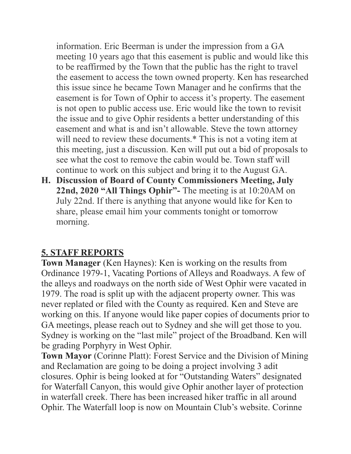information. Eric Beerman is under the impression from a GA meeting 10 years ago that this easement is public and would like this to be reaffirmed by the Town that the public has the right to travel the easement to access the town owned property. Ken has researched this issue since he became Town Manager and he confirms that the easement is for Town of Ophir to access it's property. The easement is not open to public access use. Eric would like the town to revisit the issue and to give Ophir residents a better understanding of this easement and what is and isn't allowable. Steve the town attorney will need to review these documents.<sup>\*</sup> This is not a voting item at this meeting, just a discussion. Ken will put out a bid of proposals to see what the cost to remove the cabin would be. Town staff will continue to work on this subject and bring it to the August GA.

**H. Discussion of Board of County Commissioners Meeting, July 22nd, 2020 "All Things Ophir"-** The meeting is at 10:20AM on July 22nd. If there is anything that anyone would like for Ken to share, please email him your comments tonight or tomorrow morning.

## **5. STAFF REPORTS**

**Town Manager** (Ken Haynes): Ken is working on the results from Ordinance 1979-1, Vacating Portions of Alleys and Roadways. A few of the alleys and roadways on the north side of West Ophir were vacated in 1979. The road is split up with the adjacent property owner. This was never replated or filed with the County as required. Ken and Steve are working on this. If anyone would like paper copies of documents prior to GA meetings, please reach out to Sydney and she will get those to you. Sydney is working on the "last mile" project of the Broadband. Ken will be grading Porphyry in West Ophir.

**Town Mayor** (Corinne Platt): Forest Service and the Division of Mining and Reclamation are going to be doing a project involving 3 adit closures. Ophir is being looked at for "Outstanding Waters" designated for Waterfall Canyon, this would give Ophir another layer of protection in waterfall creek. There has been increased hiker traffic in all around Ophir. The Waterfall loop is now on Mountain Club's website. Corinne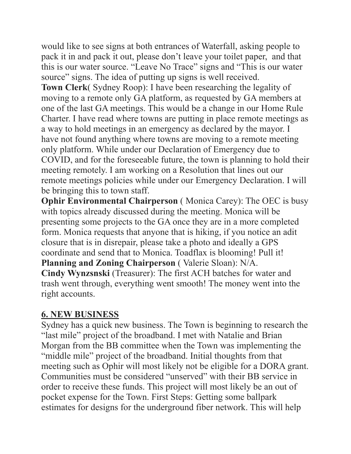would like to see signs at both entrances of Waterfall, asking people to pack it in and pack it out, please don't leave your toilet paper, and that this is our water source. "Leave No Trace" signs and "This is our water source" signs. The idea of putting up signs is well received.

**Town Clerk**( Sydney Roop): I have been researching the legality of moving to a remote only GA platform, as requested by GA members at one of the last GA meetings. This would be a change in our Home Rule Charter. I have read where towns are putting in place remote meetings as a way to hold meetings in an emergency as declared by the mayor. I have not found anything where towns are moving to a remote meeting only platform. While under our Declaration of Emergency due to COVID, and for the foreseeable future, the town is planning to hold their meeting remotely. I am working on a Resolution that lines out our remote meetings policies while under our Emergency Declaration. I will be bringing this to town staff.

**Ophir Environmental Chairperson** (Monica Carey): The OEC is busy with topics already discussed during the meeting. Monica will be presenting some projects to the GA once they are in a more completed form. Monica requests that anyone that is hiking, if you notice an adit closure that is in disrepair, please take a photo and ideally a GPS coordinate and send that to Monica. Toadflax is blooming! Pull it! **Planning and Zoning Chairperson** ( Valerie Sloan): N/A. **Cindy Wynzsnski** (Treasurer): The first ACH batches for water and trash went through, everything went smooth! The money went into the right accounts.

#### **6. NEW BUSINESS**

Sydney has a quick new business. The Town is beginning to research the "last mile" project of the broadband. I met with Natalie and Brian Morgan from the BB committee when the Town was implementing the "middle mile" project of the broadband. Initial thoughts from that meeting such as Ophir will most likely not be eligible for a DORA grant. Communities must be considered "unserved" with their BB service in order to receive these funds. This project will most likely be an out of pocket expense for the Town. First Steps: Getting some ballpark estimates for designs for the underground fiber network. This will help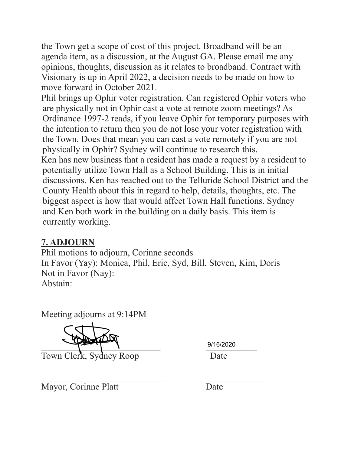the Town get a scope of cost of this project. Broadband will be an agenda item, as a discussion, at the August GA. Please email me any opinions, thoughts, discussion as it relates to broadband. Contract with Visionary is up in April 2022, a decision needs to be made on how to move forward in October 2021.

Phil brings up Ophir voter registration. Can registered Ophir voters who are physically not in Ophir cast a vote at remote zoom meetings? As Ordinance 1997-2 reads, if you leave Ophir for temporary purposes with the intention to return then you do not lose your voter registration with the Town. Does that mean you can cast a vote remotely if you are not physically in Ophir? Sydney will continue to research this. Ken has new business that a resident has made a request by a resident to potentially utilize Town Hall as a School Building. This is in initial discussions. Ken has reached out to the Telluride School District and the County Health about this in regard to help, details, thoughts, etc. The biggest aspect is how that would affect Town Hall functions. Sydney and Ken both work in the building on a daily basis. This item is

# **7. ADJOURN**

currently working.

Phil motions to adjourn, Corinne seconds In Favor (Yay): Monica, Phil, Eric, Syd, Bill, Steven, Kim, Doris Not in Favor (Nay): Abstain:

Meeting adjourns at 9:14PM

 $9/16/2020$ 

Town Clerk, Sydney Roop Date

9/16/2020

 $\mathcal{L}_\text{max}$  , and the contract of the contract of the contract of the contract of the contract of the contract of the contract of the contract of the contract of the contract of the contract of the contract of the contr Mayor, Corinne Platt Date